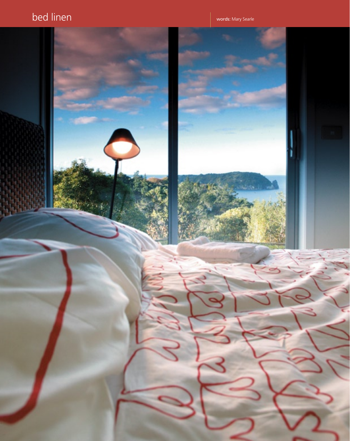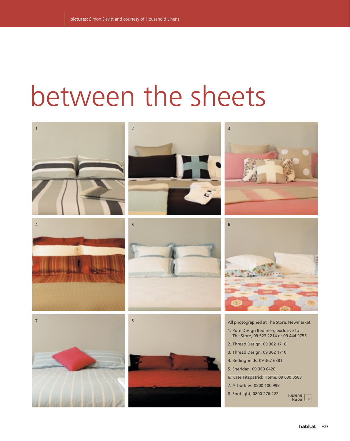## between the sheets















All photographed at The Store, Newmarket 1. Pure Design Bedlinen, exclusive to The Store, 09 523 2214 or 09 444 9755 2. Thread Design, 09 302 1710 3. Thread Design, 09 302 1710 4. Bedingfields, 09 367 6881 5. Sheridan, 09 360 6420 6. Kate Fitzpatrick Home, 09 630 0583

- 7. Arbuckles, 0800 100 999
- 8. Spotlight, 0800 276 222